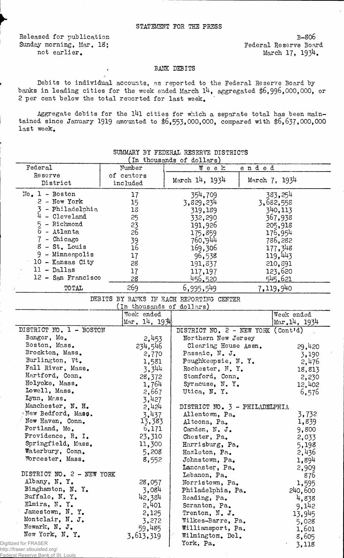Released for publication B-S06 Sunday morning, Mar. 18;<br>not earlier.<br>March 17, 1934.

 $\hat{\mathcal{L}}$ 

March 17, 1934.

## BANK DEBITS

Debits to individual accounts, as reported to the Federal Reserve Board by banks in leading cities for the week ended March  $14$ , aggregated \$6,996,000,000, or 2 per cent below the total reported for last week.

Aggregate debits for the l4l cities for which a separate total has been maintained since January 1919 amounted to  $$6,553,000,000$ , compared with  $$6,637,000,000$ last week.

|                                        |                                            | In thousands of dollars)                 |               |  |
|----------------------------------------|--------------------------------------------|------------------------------------------|---------------|--|
| Federal                                | Number                                     | ended<br>Week                            |               |  |
| Reserve                                | of centers                                 |                                          |               |  |
| District                               | included                                   | March 14, 1934                           | March 7, 1934 |  |
| $No. 1 - Boston$                       | 17                                         | 354,709                                  | 383, 254      |  |
| 2 - New York                           | 15                                         | 3,829,234                                | 3,682,558     |  |
| - Philadelphia                         | 18                                         | 319,189                                  | 340,113       |  |
| 4<br>- Cleveland                       | 25                                         | 332,290                                  | 367,938       |  |
| - Richmond<br>5                        | 23                                         | 191,926                                  | 205,918       |  |
| 6<br>- Atlanta                         | 26                                         |                                          | 176,954       |  |
| - Chicago                              |                                            | 175,859<br>760,944                       | 786,282       |  |
| 8 - St. Louis                          | 39<br>16                                   | 169,306                                  |               |  |
| 9 - Minneapolis                        |                                            |                                          | 177,348       |  |
| 10 - Kansas City                       | 17                                         | 96,538                                   | 119,443       |  |
| $11 - Dallas$                          | 28                                         | 191, 337                                 | 210,891       |  |
|                                        | 17                                         | 117,197                                  | 123,620       |  |
| 12 - San Francisco                     | 28                                         | <u>456,520</u>                           | 545.621       |  |
| <b>TOTAL</b>                           | 269                                        | 6,995,549                                | 7,119,940     |  |
|                                        |                                            | DEBITS BY BANKS IN EACH REPORTING CENTER |               |  |
|                                        | (In thousands of dollars)                  |                                          |               |  |
|                                        | Week ended                                 |                                          | Week ended    |  |
|                                        | $\left[\text{Mar. } 14, 19\right]\text{4}$ |                                          | Mar.14, 1934  |  |
| DISTRICT NO. 1 - BOSTON                |                                            | DISTRICT NO. 2 - NEW YORK (Cont'd)       |               |  |
| Bangor, Me.                            | 2,453                                      | Northern New Jersey                      |               |  |
| Boston, Mass.                          | 234,546                                    | Clearing House Assn.                     | 29,420        |  |
| Brockton, Mass.                        | 2,770                                      | Passaic, N. J.                           | 3,190         |  |
| Burlington, Vt.                        | 1,581                                      | Poughkeepsie, N.Y.                       | 2,476         |  |
| Fall River, Mass.                      | 3,344                                      | Rochester, N.Y.                          | 18,813        |  |
| Hartford, Conn.                        | 28,372                                     | Stamford, Conn.                          | 2,230         |  |
| Holyoke, Mass.                         | 1,764                                      | Syracuse, N.Y.                           | 12,402        |  |
| Lowell, Mass.                          | 2,667                                      | Utica, N.Y.                              | 6,576         |  |
| Lynn, Mass.                            | 3,427                                      |                                          |               |  |
| Manchester, N. H.                      | 2,424                                      | DISTRICT NO. 3 - PHILADELPHIA            |               |  |
| New Bedford, Mass.                     | 3,437                                      | Allentown, Pa.                           | 3,732         |  |
| New Haven, Conn.                       | 13,383                                     | Altoona, Pa.                             | 1,839         |  |
| Portland, Me.                          | 6,171                                      | Camden, N. J.                            | 9,800         |  |
| Providence, R. I.                      | 23,310                                     | Chester, Pa.                             | 2,033         |  |
| Springfield, Mass.                     | 11,300                                     | Harrisburg, Pa.                          | 5,198         |  |
| Waterbury, Conn.                       | 5,208                                      | Hazleton, Pa.                            | 2,436         |  |
| Worcester, Mass.                       | 8,552                                      | Johnstown, Pa.                           | 1,894         |  |
|                                        |                                            | Lancaster, Pa.                           | 2,909         |  |
| DISTRICT NO. 2 - NEW YORK              |                                            | Lebanon, Pa.                             | 876           |  |
| Albany, N.Y.                           | 28,057                                     | Norristown, Pa.                          | 1,595         |  |
| Binghamton, N. Y.                      | 3,084                                      | Philadelphia, Pa.                        | 240,600       |  |
| Buffalo, N.Y.                          | 42,384                                     | Reading, Pa.                             |               |  |
| Elmira, N.Y.                           | 2,401                                      |                                          | 4,838         |  |
| Jamestown, N.Y.                        |                                            | Scranton, Pa.                            | 9,142         |  |
| Montclair, N. J.                       | 2,125                                      | Trenton, N. J.                           | 13,945        |  |
| Newark, N. J.                          | 3,272                                      | Wilkes-Barre, Pa.                        | 5,028         |  |
| New York, N.Y.                         | 59,485                                     | Williamsport, Pa.                        | 1,601         |  |
|                                        | 3,613,319                                  | Wilmington. Del.                         | 8,605         |  |
| ed for FRASER<br>raser.stlouisfed.org/ |                                            | York, Pa.                                | 3,118         |  |
|                                        |                                            |                                          |               |  |

## SUMMARY BY FEDERAL RESERVE DISTRICTS  $($ In thousands of dollar

Digitiz http://f $r$ 

<u>erve Bank of St. Louis</u>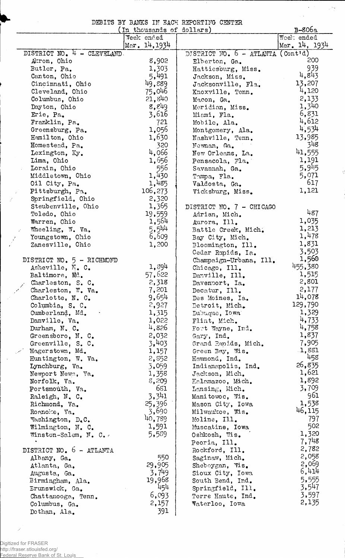DEBITS BY BANKS IN EACH REPORTING CENTER

 $\alpha$  .

 $\sim$   $\sim$ 

 $\sqrt{2\pi}$ 

ť

|                                   | In thousands of dollars) |                                   | В-80ба        |
|-----------------------------------|--------------------------|-----------------------------------|---------------|
|                                   | Week ended               |                                   | Week ended    |
|                                   | Mer. 14, 1934            |                                   | Mar. 14, 1934 |
| DISTRICT NO. $4 - CLEVELAMD$ .    |                          | DISTRICT NO. 6 - ATLANTA (Cont'd) |               |
| Arron, Ohio                       | 8,902                    | Elberton, Ga.                     | 200           |
| Butler, Pa.                       | 1,303                    | Hattiesburg, Miss.                | 939           |
| Canton, Ohio                      | 5,491                    | Jackson, Miss.                    | 4,843         |
| Cincinnati, Ohio                  | 49,889                   | Jacksonville, Fla.                | 13,207        |
| Cleveland, Ohio                   | 75,046                   | Knoxville, Tenn.                  | 4,120         |
| Columbus, Ohio                    | 21,840                   | Macon, Ga.                        | 2,133         |
| Dayton, Ohio                      | 8,849                    | Meridian, Miss.                   | 1,340         |
| Erie, Pa.                         | 3,616                    | Miami, Fla.                       | 6,831         |
| Franklin, Pa.                     | 721                      | Mobile, Ala.                      | 4,612         |
| Greensburg, Pa.                   | 1,056                    | Montgomery, Ala.                  | 4,534         |
| Hamilton, Ohio                    | 1,630                    | Nashville, Tenn.                  | 13,985<br>348 |
| Homestead, Pa.                    | 320<br>4,066             | Newnan, Ga.                       | 41,555        |
| Lexington, Ky.                    | 1,656                    | New Orleans, La.                  | 1,191         |
| Lima, Ohio                        |                          | Pensacola, Fla.                   | 5,945         |
| Lorain, Ohio<br>Middletown, Ohio  | 556<br>1,430             | Savannah, Ga.                     | 5,071         |
| Oil City, Pa.                     | 1,485                    | Tampa, Fla.                       | 617           |
| Pittsburgh, Pa.                   | 106,273                  | Valdosta, Ga.<br>Vicksburg, Miss. | 1,121         |
| Springfield, Ohio                 | 2,320                    |                                   |               |
| Steubenville, Ohio                | 1,365                    | DISTRICT NO. 7 - CHICAGO          |               |
| Toledo, Ohio                      | 19,559                   | Adrian, Mich.                     | 487           |
| Warren, Ohio                      | 1,564                    | Aurora, Ill.                      | 1,035         |
| Wheeling, W. Va.                  | 5,544                    | Battle Creek, Mich.               | 1,213         |
| Youngstown, Ohio                  | 6,609                    | Bay City, Mich.                   | 1,478         |
| Zanesville, Ohio                  | 1,200                    | Bloomington, Ill.                 | 1,831         |
|                                   |                          | Cedar Rapids, Ia.                 | 3,503         |
| DISTRICT NO. 5 - RICHMOND         |                          | Champaign-Urbana, Ill.            | 1,560         |
| Asheville, N. C.                  | 1,894                    | Chicago, Ill.                     | 455,380       |
| Baltimore, Md.                    | 57,622                   | Danville, Ill.                    | 1,515         |
| Charleston, S. C.                 | 2,318                    | Davenport, Ia.                    | 2,801         |
| Charleston, W. Va.                | 7,201                    | Decatur, Ill.                     | 2,177         |
| Charlotte, N. C.                  | 9,654                    | Des Moines, Ia.                   | 14,078        |
| Columbia, S. C.                   | 2,927                    | Detroit, Mich.                    | 129,790       |
| Cumberland, Md.                   | 1,315                    | Dubuque, Iowa                     | 1,329         |
| Danville, Va.                     | 1,022                    | Flint, Mich.                      | 4,733         |
| Durham, N. C.                     | 4,826                    | Fort Wayne, Ind.                  | 4,758         |
| Greensboro, N. C.                 | 2,032                    | Gary, Ind.                        | 1,837         |
| Greenville, S. C.                 | 3,403                    | Grand Ranids, Mich.               | 7,905         |
| Hagerstown, Md.                   | 1,157                    | Green Bay, Wis.                   | 1,881         |
| Huntington, W. Va.                | 2,852                    | Hammond, Ind.                     | 458<br>26,835 |
| Lynchburg, Va.                    | 3,059                    | Indianapolis, Ind.                | 1,621         |
| Newport News, Va.<br>Norfolk, Va. | 1,358<br>5,209           | Jackson, Mich.                    | 1,892         |
|                                   | 681                      | Kalamazoo, Mich.                  | 3,709         |
| Portsmouth, Va.<br>Raleigh, N. C. | 3,341                    | Lansing, Mich.<br>Manitowoc, Wis. | 961           |
| Richmond, Va.                     | 25,396                   | Mason City, Iowa                  | 1,538         |
| Roanoke, Va.                      | 3,690                    | Milwaukee, Wis.                   | 46, 115       |
| Washington, D.C.                  | 40,789                   | Moline, Ill.                      | 797           |
| Wilmington, N. C.                 | 1,591                    | Muscatine, Iowa                   | 502           |
| Winston-Salem, N. C.              | 5,589                    | Oshkosh, Wis.                     | 1,320         |
|                                   |                          | Peoria, Ill.                      | 7,748         |
| DISTRICT NO. 6 - ATLANTA          |                          | Rockford, Ill.                    | 2,782         |
| Albany, Ga.                       | 550                      | Saginaw, Mich.                    | 2,058         |
| Atlanta, Ga.                      | 29,905                   | Sheboygan, Wis.                   | 2,069         |
| Augusta, Ga.                      | 3,749                    | Sioux City, Iowa                  | 6,414         |
| Birmingham, Ala.                  | 19,968                   | South Bend, Ind.                  | 5,555         |
| Erunswick, Ga.                    | 454                      | Springfield, Ill.                 | 3,547         |
| Chattanooga, Tenn.                | 6,093                    | Terre Haute, Ind.                 | 3,597         |
| Columbus, Ga.                     | 2,157                    | Waterloo, Iowa                    | 2,135         |
| Dothan, Ala.                      | 391                      |                                   |               |

Digitized for FRASER http://fraser.stlouisfed.org/ Federal Reserve Bank of St. Louis

Ź